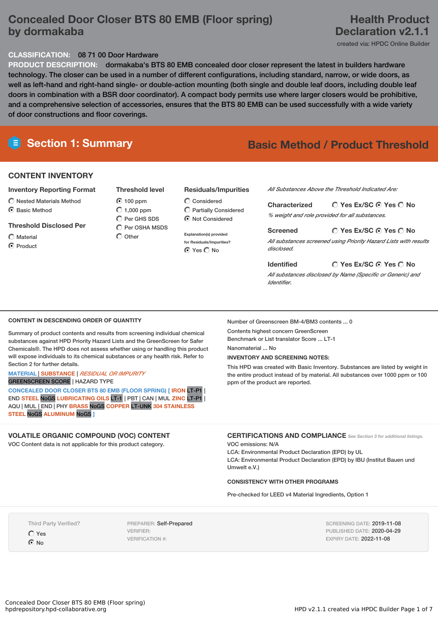# **Concealed Door Closer BTS 80 EMB (Floor spring) by dormakaba**

# **Health Product Declaration v2.1.1**

created via: HPDC Online Builder

## **CLASSIFICATION:** 08 71 00 Door Hardware

**PRODUCT DESCRIPTION:** dormakaba's BTS 80 EMB concealed door closer represent the latest in builders hardware technology. The closer can be used in a number of different configurations, including standard, narrow, or wide doors, as well as left-hand and right-hand single- or double-action mounting (both single and double leaf doors, including double leaf doors in combination with a BSR door coordinator). A compact body permits use where larger closers would be prohibitive, and a comprehensive selection of accessories, ensures that the BTS 80 EMB can be used successfully with a wide variety of door constructions and floor coverings.

# **Section 1: Summary Basic Method / Product Threshold**

## **CONTENT INVENTORY**

### **Inventory Reporting Format**

 $\widehat{\bigcap}$  Nested Materials Method C Basic Method

### **Threshold Disclosed Per**

 $\bigcap$  Material **⊙** Product

**Threshold level** 100 ppm  $\bigcirc$  1,000 ppm  $O$  Per GHS SDS  $\bigcirc$  Per OSHA MSDS

 $\bigcap$  Other

### **Residuals/Impurities**

- $\bigcirc$  Considered  $\bigcirc$  Partially Considered Not Considered
- **Explanation(s) provided for Residuals/Impurities?** ⊙ Yes O No

*All Substances Above the Threshold Indicated Are:*

**Yes Ex/SC Yes No Characterized** *% weight and role provided for all substances.*

**Yes Ex/SC Yes No Screened** *All substances screened using Priority Hazard Lists with results disclosed.*

**Yes Ex/SC Yes No** *All substances disclosed by Name (Specific or Generic) and Identifier.*

### **CONTENT IN DESCENDING ORDER OF QUANTITY**

Summary of product contents and results from screening individual chemical substances against HPD Priority Hazard Lists and the GreenScreen for Safer Chemicals®. The HPD does not assess whether using or handling this product will expose individuals to its chemical substances or any health risk. Refer to Section 2 for further details.

#### **MATERIAL** | **SUBSTANCE** | *RESIDUAL OR IMPURITY* GREENSCREEN SCORE | HAZARD TYPE

**CONCEALED DOOR CLOSER BTS 80 EMB (FLOOR SPRING) [ IRON** LT-P1 | END **STEEL** NoGS **LUBRICATING OILS** LT-1 | PBT | CAN | MUL **ZINC** LT-P1 | AQU | MUL | END | PHY **BRASS** NoGS **COPPER** LT-UNK **304 STAINLESS STEEL** NoGS **ALUMINUM** NoGS **]**

## **VOLATILE ORGANIC COMPOUND (VOC) CONTENT**

VOC Content data is not applicable for this product category.

Number of Greenscreen BM-4/BM3 contents ... 0 Contents highest concern GreenScreen

Benchmark or List translator Score ... LT-1

**Identified**

Nanomaterial ... No

## **INVENTORY AND SCREENING NOTES:**

This HPD was created with Basic Inventory. Substances are listed by weight in the entire product instead of by material. All substances over 1000 ppm or 100 ppm of the product are reported.

**CERTIFICATIONS AND COMPLIANCE** *See Section <sup>3</sup> for additional listings.*

VOC emissions: N/A

Umwelt e.V.)

LCA: Environmental Product Declaration (EPD) by UL LCA: Environmental Product Declaration (EPD) by IBU (Institut Bauen und

### **CONSISTENCY WITH OTHER PROGRAMS**

Pre-checked for LEED v4 Material Ingredients, Option 1

Third Party Verified?

Yes  $\odot$  No

PREPARER: Self-Prepared VERIFIER: VERIFICATION #:

SCREENING DATE: 2019-11-08 PUBLISHED DATE: 2020-04-29 EXPIRY DATE: 2022-11-08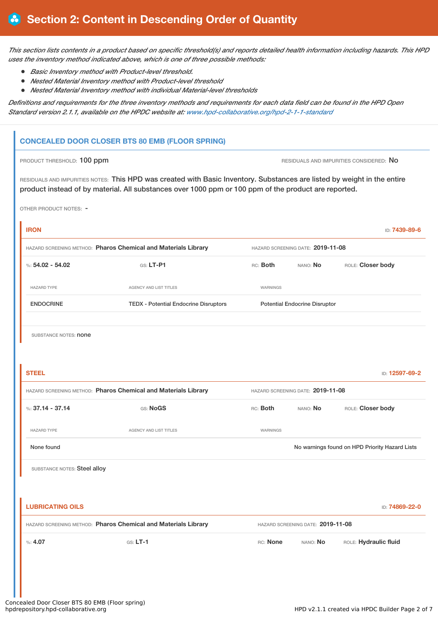This section lists contents in a product based on specific threshold(s) and reports detailed health information including hazards. This HPD *uses the inventory method indicated above, which is one of three possible methods:*

- *Basic Inventory method with Product-level threshold.*
- *Nested Material Inventory method with Product-level threshold*
- *Nested Material Inventory method with individual Material-level thresholds*

Definitions and requirements for the three inventory methods and requirements for each data field can be found in the HPD Open *Standard version 2.1.1, available on the HPDC website at: [www.hpd-collaborative.org/hpd-2-1-1-standard](https://www.hpd-collaborative.org/hpd-2-1-1-standard)*

# **CONCEALED DOOR CLOSER BTS 80 EMB (FLOOR SPRING)**

PRODUCT THRESHOLD: 100 ppm **RESIDUALS AND IMPURITIES CONSIDERED:** No

RESIDUALS AND IMPURITIES NOTES: This HPD was created with Basic Inventory. Substances are listed by weight in the entire product instead of by material. All substances over 1000 ppm or 100 ppm of the product are reported.

OTHER PRODUCT NOTES: -

| <b>IRON</b>                                                    |                                              |                                   |                                      | ID: 7439-89-6                                  |  |
|----------------------------------------------------------------|----------------------------------------------|-----------------------------------|--------------------------------------|------------------------------------------------|--|
| HAZARD SCREENING METHOD: Pharos Chemical and Materials Library |                                              |                                   | HAZARD SCREENING DATE: 2019-11-08    |                                                |  |
| %: $54.02 - 54.02$                                             | $Gs: LT-P1$                                  | RC: Both                          | NANO: No                             | ROLE: Closer body                              |  |
| HAZARD TYPE                                                    | AGENCY AND LIST TITLES                       | WARNINGS                          |                                      |                                                |  |
| <b>ENDOCRINE</b>                                               | <b>TEDX - Potential Endocrine Disruptors</b> |                                   | <b>Potential Endocrine Disruptor</b> |                                                |  |
| SUBSTANCE NOTES: <b>none</b>                                   |                                              |                                   |                                      |                                                |  |
| <b>STEEL</b>                                                   |                                              |                                   |                                      | ID: 12597-69-2                                 |  |
| HAZARD SCREENING METHOD: Pharos Chemical and Materials Library |                                              | HAZARD SCREENING DATE: 2019-11-08 |                                      |                                                |  |
| %: $37.14 - 37.14$                                             | GS: NoGS                                     | RC: Both                          | NANO: No                             | ROLE: Closer body                              |  |
| <b>HAZARD TYPE</b>                                             | AGENCY AND LIST TITLES                       | WARNINGS                          |                                      |                                                |  |
| None found                                                     |                                              |                                   |                                      | No warnings found on HPD Priority Hazard Lists |  |
| SUBSTANCE NOTES: Steel alloy                                   |                                              |                                   |                                      |                                                |  |
|                                                                |                                              |                                   |                                      |                                                |  |
| <b>LUBRICATING OILS</b>                                        |                                              |                                   |                                      | ID: 74869-22-0                                 |  |
| HAZARD SCREENING METHOD: Pharos Chemical and Materials Library |                                              |                                   | HAZARD SCREENING DATE: 2019-11-08    |                                                |  |
| %: 4.07                                                        | $G.S. LT-1$                                  | RC: None                          | NANO: No                             | ROLE: Hydraulic fluid                          |  |
|                                                                |                                              |                                   |                                      |                                                |  |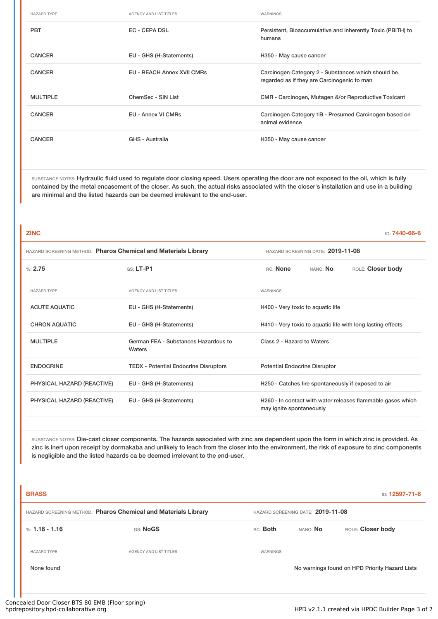| <b>HAZARD TYPE</b> | <b>AGENCY AND LIST TITLES</b>     | WARNINGS                                                                                          |
|--------------------|-----------------------------------|---------------------------------------------------------------------------------------------------|
| <b>PBT</b>         | EC - CEPA DSL                     | Persistent, Bioaccumulative and inherently Toxic (PBITH) to<br>humans                             |
| <b>CANCER</b>      | EU - GHS (H-Statements)           | H350 - May cause cancer                                                                           |
| <b>CANCER</b>      | <b>EU - REACH Annex XVII CMRs</b> | Carcinogen Category 2 - Substances which should be<br>regarded as if they are Carcinogenic to man |
| <b>MULTIPLE</b>    | ChemSec - SIN List                | CMR - Carcinogen, Mutagen &/or Reproductive Toxicant                                              |
| <b>CANCER</b>      | EU - Annex VI CMRs                | Carcinogen Category 1B - Presumed Carcinogen based on<br>animal evidence                          |
| <b>CANCER</b>      | GHS - Australia                   | H350 - May cause cancer                                                                           |

SUBSTANCE NOTES: Hydraulic fluid used to regulate door closing speed. Users operating the door are not exposed to the oil, which is fully contained by the metal encasement of the closer. As such, the actual risks associated with the closer's installation and use in a building are minimal and the listed hazards can be deemed irrelevant to the end-user.

| <b>ZINC</b>                                                    |                                                |                                                             |                                   | ID: 7440-66-6                                               |
|----------------------------------------------------------------|------------------------------------------------|-------------------------------------------------------------|-----------------------------------|-------------------------------------------------------------|
| HAZARD SCREENING METHOD: Pharos Chemical and Materials Library |                                                |                                                             | HAZARD SCREENING DATE: 2019-11-08 |                                                             |
| %2.75                                                          | $G.S. LT-P1$                                   | RC: None                                                    | NANO: No                          | ROLE: Closer body                                           |
| <b>HAZARD TYPE</b>                                             | <b>AGENCY AND LIST TITLES</b>                  | WARNINGS                                                    |                                   |                                                             |
| <b>ACUTE AQUATIC</b>                                           | EU - GHS (H-Statements)                        |                                                             | H400 - Very toxic to aquatic life |                                                             |
| <b>CHRON AQUATIC</b>                                           | EU - GHS (H-Statements)                        | H410 - Very toxic to aquatic life with long lasting effects |                                   |                                                             |
| <b>MULTIPLE</b>                                                | German FEA - Substances Hazardous to<br>Waters | Class 2 - Hazard to Waters                                  |                                   |                                                             |
| <b>ENDOCRINE</b>                                               | <b>TEDX</b> - Potential Endocrine Disruptors   | <b>Potential Endocrine Disruptor</b>                        |                                   |                                                             |
| PHYSICAL HAZARD (REACTIVE)                                     | EU - GHS (H-Statements)                        | H250 - Catches fire spontaneously if exposed to air         |                                   |                                                             |
| PHYSICAL HAZARD (REACTIVE)                                     | EU - GHS (H-Statements)                        | may ignite spontaneously                                    |                                   | H260 - In contact with water releases flammable gases which |
|                                                                |                                                |                                                             |                                   |                                                             |

SUBSTANCE NOTES: Die-cast closer components. The hazards associated with zinc are dependent upon the form in which zinc is provided. As zinc is inert upon receipt by dormakaba and unlikely to leach from the closer into the environment, the risk of exposure to zinc components is negligible and the listed hazards ca be deemed irrelevant to the end-user.

| <b>BRASS</b>                                                   |                               |          |                                   | ID: 12597-71-6                                 |  |  |
|----------------------------------------------------------------|-------------------------------|----------|-----------------------------------|------------------------------------------------|--|--|
| HAZARD SCREENING METHOD: Pharos Chemical and Materials Library |                               |          | HAZARD SCREENING DATE: 2019-11-08 |                                                |  |  |
| %: $1.16 - 1.16$                                               | GS: NoGS                      | RC: Both | NANO: No                          | ROLE: Closer body                              |  |  |
| <b>HAZARD TYPE</b>                                             | <b>AGENCY AND LIST TITLES</b> | WARNINGS |                                   |                                                |  |  |
| None found                                                     |                               |          |                                   | No warnings found on HPD Priority Hazard Lists |  |  |
|                                                                |                               |          |                                   |                                                |  |  |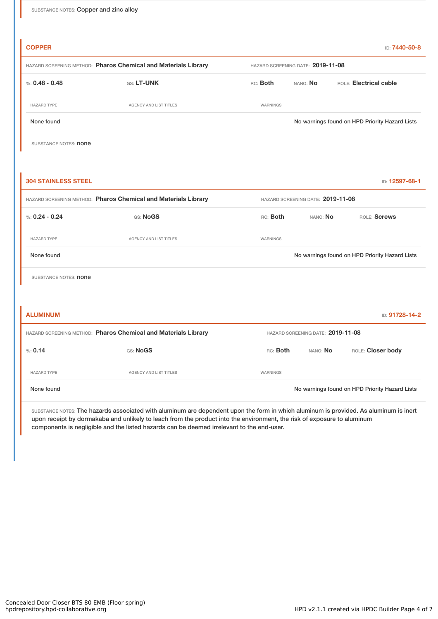| <b>COPPER</b>                                                  |                               |          |                                   | ID: 7440-50-8                                  |  |  |
|----------------------------------------------------------------|-------------------------------|----------|-----------------------------------|------------------------------------------------|--|--|
| HAZARD SCREENING METHOD: Pharos Chemical and Materials Library |                               |          | HAZARD SCREENING DATE: 2019-11-08 |                                                |  |  |
| %: $0.48 - 0.48$                                               | GS: LT-UNK                    | RC: Both | NANO: No                          | ROLE: Electrical cable                         |  |  |
| <b>HAZARD TYPE</b>                                             | <b>AGENCY AND LIST TITLES</b> | WARNINGS |                                   |                                                |  |  |
| None found                                                     |                               |          |                                   | No warnings found on HPD Priority Hazard Lists |  |  |
| SUBSTANCE NOTES: <b>none</b>                                   |                               |          |                                   |                                                |  |  |
|                                                                |                               |          |                                   |                                                |  |  |
| <b>304 STAINLESS STEEL</b>                                     |                               |          |                                   | ID: 12597-68-1                                 |  |  |
| HAZARD SCREENING METHOD: Pharos Chemical and Materials Library |                               |          | HAZARD SCREENING DATE: 2019-11-08 |                                                |  |  |
| %: $0.24 - 0.24$                                               | GS: NoGS                      | RC: Both | NANO: No                          | ROLE: Screws                                   |  |  |
|                                                                |                               |          |                                   |                                                |  |  |

HAZARD TYPE **AGENCY AND LIST TITLES** WARNINGS

None found Now arrings found on HPD Priority Hazard Lists

SUBSTANCE NOTES: **none** 

| <b>ALUMINUM</b><br>ID: 91728-14-2                              |                        |                                   |          |                                                |  |
|----------------------------------------------------------------|------------------------|-----------------------------------|----------|------------------------------------------------|--|
| HAZARD SCREENING METHOD: Pharos Chemical and Materials Library |                        | HAZARD SCREENING DATE: 2019-11-08 |          |                                                |  |
| % 0.14                                                         | GS: NoGS               | RC: Both                          | NANO: No | ROLE: Closer body                              |  |
| <b>HAZARD TYPE</b>                                             | AGENCY AND LIST TITLES | WARNINGS                          |          |                                                |  |
| None found                                                     |                        |                                   |          | No warnings found on HPD Priority Hazard Lists |  |

SUBSTANCE NOTES: The hazards associated with aluminum are dependent upon the form in which aluminum is provided. As aluminum is inert upon receipt by dormakaba and unlikely to leach from the product into the environment, the risk of exposure to aluminum components is negligible and the listed hazards can be deemed irrelevant to the end-user.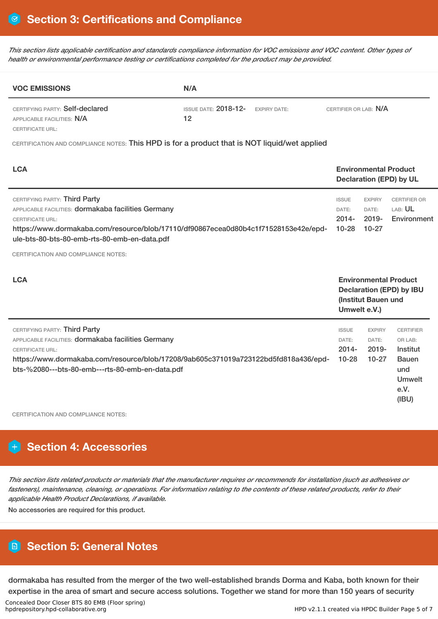This section lists applicable certification and standards compliance information for VOC emissions and VOC content. Other types of *health or environmental performance testing or certifications completed for the product may be provided.*

| <b>VOC EMISSIONS</b>                                          | N/A                           |                     |                       |  |  |
|---------------------------------------------------------------|-------------------------------|---------------------|-----------------------|--|--|
| CERTIFYING PARTY: Self-declared<br>APPLICABLE FACILITIES: N/A | ISSUE DATE: $2018 - 12$<br>12 | <b>EXPIRY DATE:</b> | CERTIFIER OR LAB: N/A |  |  |
| <b>CERTIFICATE URL:</b>                                       |                               |                     |                       |  |  |

CERTIFICATION AND COMPLIANCE NOTES: This HPD is for a product that is NOT liquid/wet applied

| <b>LCA</b>                                                                                                                                                                                                                                                                                           |                                                                                                        | <b>Environmental Product</b><br><b>Declaration (EPD) by UL</b> |                                                                                                  |  |
|------------------------------------------------------------------------------------------------------------------------------------------------------------------------------------------------------------------------------------------------------------------------------------------------------|--------------------------------------------------------------------------------------------------------|----------------------------------------------------------------|--------------------------------------------------------------------------------------------------|--|
| CERTIFYING PARTY: Third Party<br>APPLICABLE FACILITIES: dormakaba facilities Germany<br><b>CERTIFICATE URL:</b><br>https://www.dormakaba.com/resource/blob/17110/df90867ecea0d80b4c1f71528153e42e/epd-<br>ule-bts-80-bts-80-emb-rts-80-emb-en-data.pdf<br><b>CERTIFICATION AND COMPLIANCE NOTES:</b> | <b>ISSUE</b><br>DATE:<br>$2014 -$<br>$10 - 28$                                                         | <b>EXPIRY</b><br>DATE:<br>$2019 -$<br>$10-27$                  | <b>CERTIFIER OR</b><br>LAB: UL<br>Environment                                                    |  |
| <b>LCA</b>                                                                                                                                                                                                                                                                                           | <b>Environmental Product</b><br><b>Declaration (EPD) by IBU</b><br>(Institut Bauen und<br>Umwelt e.V.) |                                                                |                                                                                                  |  |
| CERTIFYING PARTY: Third Party<br>APPLICABLE FACILITIES: dormakaba facilities Germany<br><b>CERTIFICATE URL:</b><br>https://www.dormakaba.com/resource/blob/17208/9ab605c371019a723122bd5fd818a436/epd-<br>bts-%2080---bts-80-emb---rts-80-emb-en-data.pdf                                            | <b>ISSUE</b><br>DATE:<br>$2014 -$<br>$10 - 28$                                                         | <b>EXPIRY</b><br>DATE:<br>$2019 -$<br>$10 - 27$                | <b>CERTIFIER</b><br>OR LAB:<br>Institut<br><b>Bauen</b><br>und<br><b>Umwelt</b><br>e.V.<br>(IBU) |  |

CERTIFICATION AND COMPLIANCE NOTES:

# **Section 4: Accessories**

This section lists related products or materials that the manufacturer requires or recommends for installation (such as adhesives or fasteners), maintenance, cleaning, or operations. For information relating to the contents of these related products, refer to their *applicable Health Product Declarations, if available.*

No accessories are required for this product.

# **Section 5: General Notes**

dormakaba has resulted from the merger of the two well-established brands Dorma and Kaba, both known for their expertise in the area of smart and secure access solutions. Together we stand for more than 150 years of security

Concealed Door Closer BTS 80 EMB (Floor spring)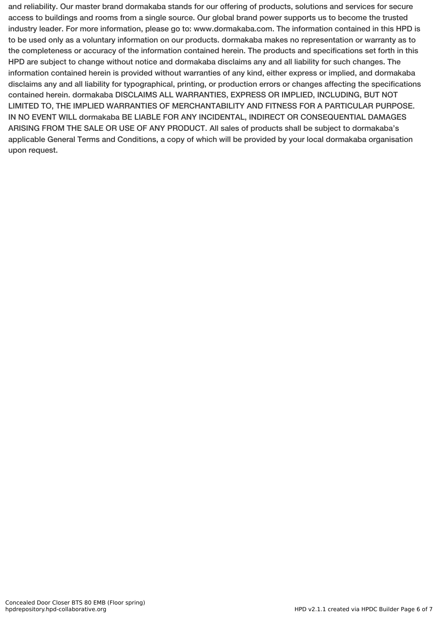and reliability. Our master brand dormakaba stands for our offering of products, solutions and services for secure access to buildings and rooms from a single source. Our global brand power supports us to become the trusted industry leader. For more information, please go to: www.dormakaba.com. The information contained in this HPD is to be used only as a voluntary information on our products. dormakaba makes no representation or warranty as to the completeness or accuracy of the information contained herein. The products and specifications set forth in this HPD are subject to change without notice and dormakaba disclaims any and all liability for such changes. The information contained herein is provided without warranties of any kind, either express or implied, and dormakaba disclaims any and all liability for typographical, printing, or production errors or changes affecting the specifications contained herein. dormakaba DISCLAIMS ALL WARRANTIES, EXPRESS OR IMPLIED, INCLUDING, BUT NOT LIMITED TO, THE IMPLIED WARRANTIES OF MERCHANTABILITY AND FITNESS FOR A PARTICULAR PURPOSE. IN NO EVENT WILL dormakaba BE LIABLE FOR ANY INCIDENTAL, INDIRECT OR CONSEQUENTIAL DAMAGES ARISING FROM THE SALE OR USE OF ANY PRODUCT. All sales of products shall be subject to dormakaba's applicable General Terms and Conditions, a copy of which will be provided by your local dormakaba organisation upon request.